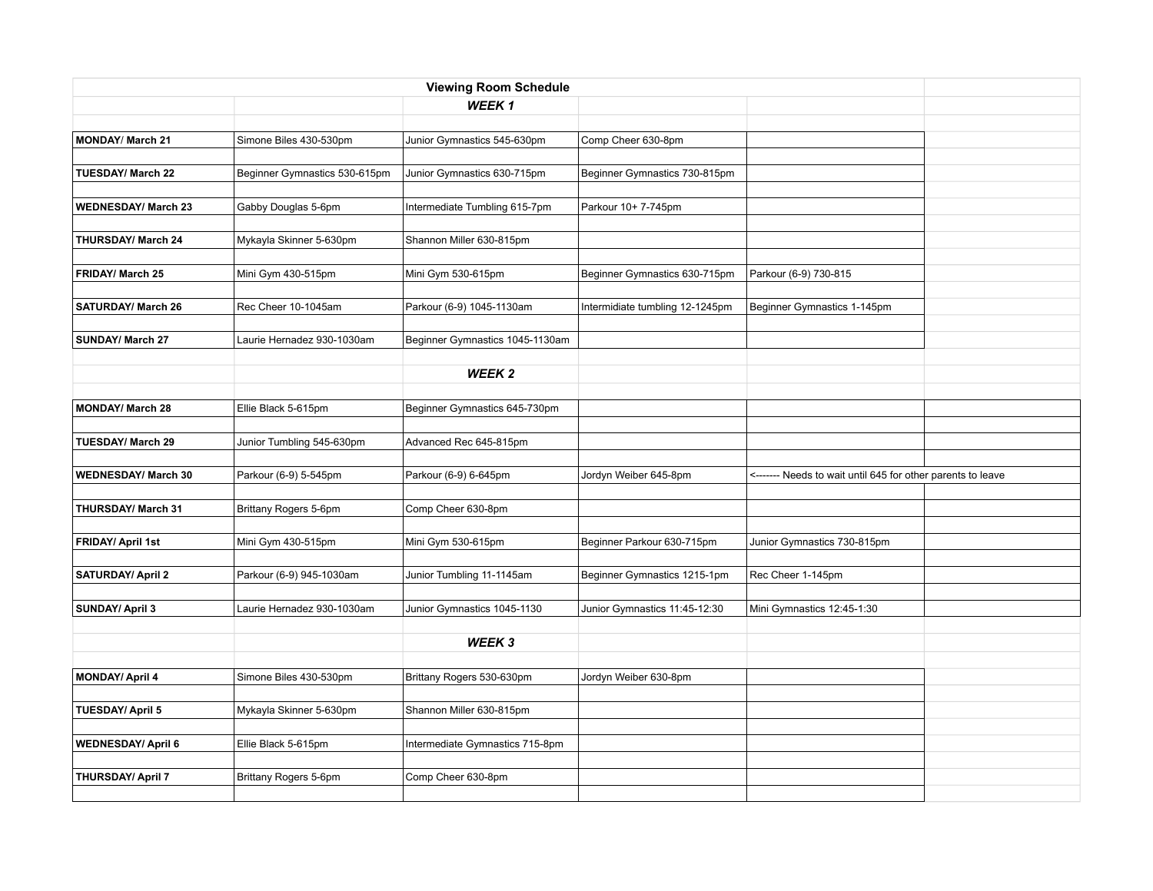|                            |                               | <b>Viewing Room Schedule</b>    |                                 |                                                             |  |
|----------------------------|-------------------------------|---------------------------------|---------------------------------|-------------------------------------------------------------|--|
|                            |                               | WEEK <sub>1</sub>               |                                 |                                                             |  |
|                            |                               |                                 |                                 |                                                             |  |
| <b>MONDAY/ March 21</b>    | Simone Biles 430-530pm        | Junior Gymnastics 545-630pm     | Comp Cheer 630-8pm              |                                                             |  |
|                            |                               |                                 |                                 |                                                             |  |
| <b>TUESDAY/ March 22</b>   | Beginner Gymnastics 530-615pm | Junior Gymnastics 630-715pm     | Beginner Gymnastics 730-815pm   |                                                             |  |
|                            |                               |                                 |                                 |                                                             |  |
| <b>WEDNESDAY/ March 23</b> | Gabby Douglas 5-6pm           | Intermediate Tumbling 615-7pm   | Parkour 10+ 7-745pm             |                                                             |  |
|                            |                               |                                 |                                 |                                                             |  |
| THURSDAY/ March 24         | Mykayla Skinner 5-630pm       | Shannon Miller 630-815pm        |                                 |                                                             |  |
| FRIDAY/ March 25           | Mini Gym 430-515pm            | Mini Gym 530-615pm              | Beginner Gymnastics 630-715pm   | Parkour (6-9) 730-815                                       |  |
|                            |                               |                                 |                                 |                                                             |  |
| <b>SATURDAY/ March 26</b>  | Rec Cheer 10-1045am           | Parkour (6-9) 1045-1130am       | Intermidiate tumbling 12-1245pm | Beginner Gymnastics 1-145pm                                 |  |
|                            |                               |                                 |                                 |                                                             |  |
| SUNDAY/ March 27           | Laurie Hernadez 930-1030am    | Beginner Gymnastics 1045-1130am |                                 |                                                             |  |
|                            |                               |                                 |                                 |                                                             |  |
|                            |                               | WEEK <sub>2</sub>               |                                 |                                                             |  |
|                            |                               |                                 |                                 |                                                             |  |
| <b>MONDAY/ March 28</b>    | Ellie Black 5-615pm           | Beginner Gymnastics 645-730pm   |                                 |                                                             |  |
|                            |                               |                                 |                                 |                                                             |  |
| <b>TUESDAY/ March 29</b>   | Junior Tumbling 545-630pm     | Advanced Rec 645-815pm          |                                 |                                                             |  |
|                            |                               |                                 |                                 |                                                             |  |
| <b>WEDNESDAY/ March 30</b> | Parkour (6-9) 5-545pm         | Parkour (6-9) 6-645pm           | Jordyn Weiber 645-8pm           | <------- Needs to wait until 645 for other parents to leave |  |
| THURSDAY/ March 31         | Brittany Rogers 5-6pm         | Comp Cheer 630-8pm              |                                 |                                                             |  |
|                            |                               |                                 |                                 |                                                             |  |
| FRIDAY/ April 1st          | Mini Gym 430-515pm            | Mini Gym 530-615pm              | Beginner Parkour 630-715pm      | Junior Gymnastics 730-815pm                                 |  |
|                            |                               |                                 |                                 |                                                             |  |
| <b>SATURDAY/ April 2</b>   | Parkour (6-9) 945-1030am      | Junior Tumbling 11-1145am       | Beginner Gymnastics 1215-1pm    | Rec Cheer 1-145pm                                           |  |
|                            |                               |                                 |                                 |                                                             |  |
| <b>SUNDAY/ April 3</b>     | Laurie Hernadez 930-1030am    | Junior Gymnastics 1045-1130     | Junior Gymnastics 11:45-12:30   | Mini Gymnastics 12:45-1:30                                  |  |
|                            |                               |                                 |                                 |                                                             |  |
|                            |                               | WEEK 3                          |                                 |                                                             |  |
|                            |                               |                                 |                                 |                                                             |  |
| <b>MONDAY/ April 4</b>     | Simone Biles 430-530pm        | Brittany Rogers 530-630pm       | Jordyn Weiber 630-8pm           |                                                             |  |
|                            |                               |                                 |                                 |                                                             |  |
| <b>TUESDAY/ April 5</b>    | Mykayla Skinner 5-630pm       | Shannon Miller 630-815pm        |                                 |                                                             |  |
| <b>WEDNESDAY/ April 6</b>  | Ellie Black 5-615pm           | Intermediate Gymnastics 715-8pm |                                 |                                                             |  |
|                            |                               |                                 |                                 |                                                             |  |
| THURSDAY/ April 7          | Brittany Rogers 5-6pm         | Comp Cheer 630-8pm              |                                 |                                                             |  |
|                            |                               |                                 |                                 |                                                             |  |